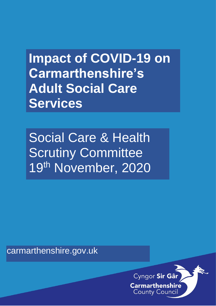**Impact of COVID-19 on Carmarthenshire's Adult Social Care Services**

Social Care & Health Scrutiny Committee 19th November, 2020

carmarthenshire.gov.uk

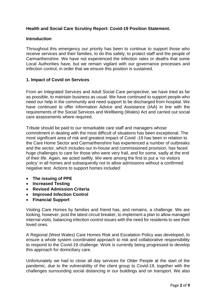# **Health and Social Care Scrutiny Report: Covid-19 Position Statement.**

#### **Introduction**

Throughout this emergency our priority has been to continue to support those who receive services and their families, to do this safely, to protect staff and the people of Carmarthenshire. We have not experienced the infection rates or deaths that some Local Authorities have, but we remain vigilant with our governance processes and infection control, in order that we ensure this position is sustained.

### **1. Impact of Covid on Services**

From an Integrated Services and Adult Social Care perspective, we have tried as far as possible, to maintain business as usual. We have continued to support people who need our help in the community and need support to be discharged from hospital. We have continued to offer Information Advice and Assistance (IAA) in line with the requirements of the Social Services and Wellbeing (Wales) Act and carried out social care assessments where required.

Tribute should be paid to our remarkable care staff and managers whose commitment in dealing with the most difficult of situations has been exceptional. The most significant area of risk and greatest impact of Covid -19 has been in relation to the Care Home Sector and Carmarthenshire has experienced a number of outbreaks and the sector, which includes our in-house and commissioned provision, has faced huge challenges to care for those who were very frail, and for some, sadly at the end of their life. Again, we acted swiftly. We were among the first to put a 'no visitors policy' in all homes and subsequently not to allow admissions without a confirmed negative test. Actions to support homes included:

- **The issuing of PPE**
- **Increased Testing**
- **Revised Admission Criteria**
- **Improved Infection Control**
- **Financial Support**

Visiting Care Homes by families and friend has, and remains, a challenge. We are looking, however, post the latest circuit breaker, to implement a plan to allow managed internal visits, balancing infection control issues with the need for residents to see their loved ones.

A Regional (West Wales) Care Homes Risk and Escalation Policy was developed, to ensure a whole system coordinated approach to risk and collaborative responsibility to respond to the Covid-19 challenge. Work is currently being progressed to develop this approach for domiciliary care.

Unfortunately we had to close all day services for Older People at the start of the pandemic, due to the vulnerability of the client group to Covid-19, together with the challenges surrounding social distancing in our buildings and on transport. We also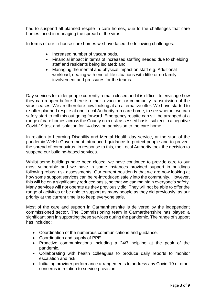had to suspend all planned respite in care homes, due to the challenges that care homes faced in managing the spread of the virus.

In terms of our in-house care homes we have faced the following challenges:

- Increased number of vacant beds.
- Financial impact in terms of increased staffing needed due to shielding staff and residents being isolated; and
- Managing the mental and physical impact on staff e.g. Additional workload, dealing with end of life situations with little or no family involvement and pressures for the teams.

Day services for older people currently remain closed and it is difficult to envisage how they can reopen before there is either a vaccine, or community transmission of the virus ceases. We are therefore now looking at an alternative offer. We have started to re-offer planned respite at one Local Authority run care home, to see whether we can safely start to roll this out going forward. Emergency respite can still be arranged at a range of care homes across the County on a risk assessed basis, subject to a negative Covid-19 test and isolation for 14-days on admission to the care home.

In relation to Learning Disability and Mental Health day service, at the start of the pandemic Welsh Government introduced guidance to protect people and to prevent the spread of coronavirus. In response to this, the Local Authority took the decision to suspend our building-based services.

Whilst some buildings have been closed, we have continued to provide care to our most vulnerable and we have in some instances provided support in buildings following robust risk assessments. Our current position is that we are now looking at how some support services can be re-introduced safely into the community. However, this will be on a significantly reduced basis, so that we can maintain everyone's safety. Many services will not operate as they previously did. They will not be able to offer the range of activities or be able to support as many people as they did previously, as our priority at the current time is to keep everyone safe.

Most of the care and support in Carmarthenshire is delivered by the independent commissioned sector. The Commissioning team in Carmarthenshire has played a significant part in supporting these services during the pandemic. The range of support has included:

- Coordination of the numerous communications and guidance.
- Coordination and supply of PPE
- Proactive communications including a 24/7 helpline at the peak of the pandemic.
- Collaborating with health colleagues to produce daily reports to monitor escalation and risk.
- Initiating provider performance arrangements to address any Covid-19 or other concerns in relation to service provision.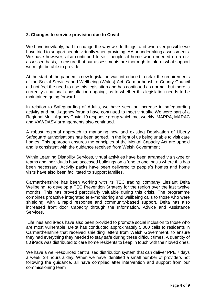## **2. Changes to service provision due to Covid**

We have inevitably, had to change the way we do things, and wherever possible we have tried to support people virtually when providing IAA or undertaking assessments. We have however, also continued to visit people at home when needed on a risk assessed basis, to ensure that our assessments are thorough to inform what support we might be able to provide.

At the start of the pandemic new legislation was introduced to relax the requirements of the Social Services and Wellbeing (Wales) Act. Carmarthenshire County Council did not feel the need to use this legislation and has continued as normal, but there is currently a national consultation ongoing, as to whether this legislation needs to be maintained going forward.

In relation to Safeguarding of Adults, we have seen an increase in safeguarding activity and multi-agency forums have continued to meet virtually. We were part of a Regional Multi Agency Covid-19 response group which met weekly. MAPPA, MARAC and VAWDASV arrangements also continued.

A robust regional approach to managing new and existing Deprivation of Liberty Safeguard authorisations has been agreed, in the light of us being unable to visit care homes. This approach ensures the principles of the Mental Capacity Act are upheld and is consistent with the guidance received from Welsh Government

Within Learning Disability Services, virtual activities have been arranged via skype or teams and individuals have accessed buildings on a 'one to one' basis where this has been necessary. Activity packs have been delivered to people's homes and home visits have also been facilitated to support families.

Carmarthenshire has been working with its TEC trading company Llesiant Delta Wellbeing, to develop a TEC Prevention Strategy for the region over the last twelve months. This has proved particularly valuable during this crisis. The programme combines proactive integrated tele-monitoring and wellbeing calls to those who were shielding, with a rapid response and community-based support. Delta has also increased front door Capacity through the Information, Advice and Assistance Services.

Lifelines and iPads have also been provided to promote social inclusion to those who are most vulnerable. Delta has conducted approximately 5,000 calls to residents in Carmarthenshire that received shielding letters from Welsh Government, to ensure they had everything they needed to stay safe during these difficult times. A quantity of 80 iPads was distributed to care home residents to keep in touch with their loved ones.

We have a well-resourced centralised distribution system that can deliver PPE 7 days a week, 24 hours a day. When we have identified a small number of providers not following the guidance, all have complied after intervention and support from our commissioning team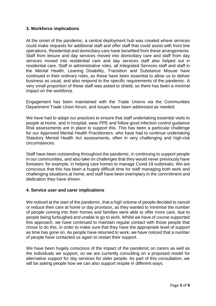## **3. Workforce implications**

At the onset of the pandemic, a central deployment hub was created where services could make requests for additional staff and offer staff that could assist with front line operations. Residential and domiciliary care have benefited from these arrangements. Staff from leisure and day services moved into domiciliary care and staff from day services moved into residential care and day services staff also helped out in residential care. Staff in administrative roles, all Integrated Services staff and staff in the Mental Health, Leaning Disability, Transition and Substance Misuse have continued in their ordinary roles, as these have been essential to allow us to deliver business as usual, and also respond to the specific requirements of the pandemic. A very small proportion of these staff was asked to shield, so there has been a minimal impact on the workforce.

Engagement has been maintained with the Trade Unions via the Communities Department Trade Union forum, and issues have been addressed as needed.

We have had to adapt our practices to ensure that staff undertaking essential visits to people at home, and in hospital, wear PPE and follow good infection control guidance Risk assessments are in place to support this. This has been a particular challenge for our Approved Mental Health Practitioners, who have had to continue undertaking Statutory Mental Health Act assessments, often in very challenging and high-risk circumstances.

Staff have been outstanding throughout the pandemic, in continuing to support people in our communities, and also take on challenges that they would never previously have foreseen; for example, in helping care homes to manage Covid-19 outbreaks. We are conscious that this has been a hugely difficult time for staff managing both work and challenging situations at home, and staff have been exemplary in the commitment and dedication they have shown.

### **4. Service user and carer implications**

We noticed at the start of the pandemic, that a high volume of people decided to cancel or reduce their care at home or day provision, as they wanted to minimise the number of people coming into their homes and families were able to offer more care, due to people being furloughed and unable to go to work. Whilst we have of course supported this approach, we have continued to maintain regular contact with those people that chose to do this, in order to make sure that they have the appropriate level of support as time has gone on. As people have returned to work, we have noticed that a number of people have contacted us again to restart their support.

We have been hugely conscious of the impact of the pandemic on carers as well as the individuals we support, so we are currently consulting on a proposed model for alternative support for day services for older people. As part of this consultation, we will be asking people how we can also support respite in different ways.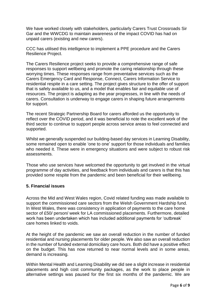We have worked closely with stakeholders, particularly Carers Trust Crossroads Sir Gar and the WWCDG to maintain awareness of the impact COVID has had on unpaid carers (existing and new carers).

CCC has utilised this intelligence to implement a PPE procedure and the Carers Resilience Project.

The Carers Resilience project seeks to provide a comprehensive range of safe responses to support wellbeing and promote the caring relationship through these worrying times. These responses range from preventative services such as the Carers Emergency Card and Response, Connect, Carers Information Service to residential respite in a care setting. The project gives structure to the offer of support that is safely available to us, and a model that enables fair and equitable use of resources. The project is adapting as the year progresses, in line with the needs of carers. Consultation is underway to engage carers in shaping future arrangements for support.

The recent Strategic Partnership Board for carers afforded us the opportunity to reflect over the COVID period, and it was beneficial to note the excellent work of the third sector to continue to support people across service areas to feel connected and supported.

Whilst we generally suspended our building-based day services in Learning Disability, some remained open to enable 'one to one' support for those individuals and families who needed it. These were in emergency situations and were subject to robust risk assessments.

Those who use services have welcomed the opportunity to get involved in the virtual programme of day activities, and feedback from individuals and carers is that this has provided some respite from the pandemic and been beneficial for their wellbeing.

## **5. Financial issues**

Across the Mid and West Wales region, Covid related funding was made available to support the commissioned care sectors from the Welsh Government Hardship fund. In West Wales, there was consistency in application of payments to the care home sector of £50/ person/ week for LA commissioned placements. Furthermore, detailed work has been undertaken which has included additional payments for 'outbreak' care homes linked to voids.

At the height of the pandemic we saw an overall reduction in the number of funded residential and nursing placements for older people. We also saw an overall reduction in the number of funded external domiciliary care hours. Both did have a positive effect on the budget. This has now returned to near normal levels and in some areas, demand is increasing.

Within Mental Health and Learning Disability we did see a slight increase in residential placements and high cost community packages, as the work to place people in alternative settings was paused for the first six months of the pandemic. We are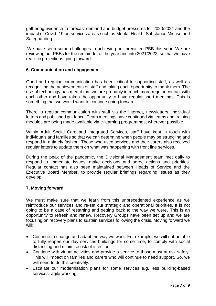gathering evidence to forecast demand and budget pressures for 2020/2021 and the impact of Covid–19 on services areas such as Mental Health, Substance Misuse and Safeguarding.

We have seen some challenges in achieving our predicted PBB this year. We are reviewing our PBBs for the remainder of the year and into 2021/2022, so that we have realistic projections going forward.

### **6. Communication and engagement**

Good and regular communication has been critical to supporting staff, as well as recognising the achievements of staff and taking each opportunity to thank them. The use of technology has meant that we are probably in much more regular contact with each other and have taken the opportunity to have regular short meetings. This is something that we would want to continue going forward.

There is regular communication with staff via the internet, newsletters, individual letters and published guidance. Team meetings have continued via teams and training modules are being made available via e-learning programmes, wherever possible.

Within Adult Social Care and Integrated Services, staff have kept in touch with individuals and families so that we can determine when people may be struggling and respond in a timely fashion. Those who used services and their carers also received regular letters to update them on what was happening with front line services.

During the peak of the pandemic, the Divisional Management team met daily to respond to immediate issues, make decisions and agree actions and priorities. Regular contact has also been maintained between Heads of Service and the Executive Board Member, to provide regular briefings regarding issues as they develop.

### **7. Moving forward**

We must make sure that we learn from this unprecedented experience as we reintroduce our services and re-set our strategic and operational priorities. It is not going to be a case of restarting and getting back to the way we were. This is an opportunity to refresh and renew. Recovery Groups have been set up and we are focusing on recovery plans to sustain services following the crisis. Moving forward we will:

- Continue to change and adapt the way we work. For example, we will not be able to fully reopen our day services buildings for some time, to comply with social distancing and minimise risk of infection.
- Continue with virtual activities and provide a service to those most at risk safely. This will impact on families and carers who will continue to need support. So, we will need to do this creatively.
- Escalate our modernisation plans for some services e.g. less building-based services, agile working.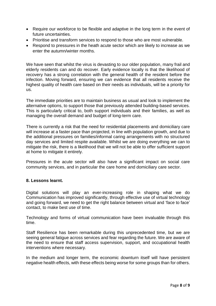- Require our workforce to be flexible and adaptive in the long term in the event of future uncertainties.
- Prioritise and transform services to respond to those who are most vulnerable.
- Respond to pressures in the heath acute sector which are likely to increase as we enter the autumn/winter months.

We have seen that whilst the virus is devasting to our older population, many frail and elderly residents can and do recover. Early evidence locally is that the likelihood of recovery has a strong correlation with the general health of the resident before the infection. Moving forward, ensuring we can evidence that all residents receive the highest quality of health care based on their needs as individuals, will be a priority for us.

The immediate priorities are to maintain business as usual and look to implement the alternative options, to support those that previously attended building-based services. This is particularly critical to, both support individuals and their families, as well as managing the overall demand and budget of long-term care.

There is currently a risk that the need for residential placements and domiciliary care will increase at a faster pace than projected, in line with population growth, and due to the additional pressures on families/informal caring arrangements with no structured day services and limited respite available. Whilst we are doing everything we can to mitigate the risk, there is a likelihood that we will not be able to offer sufficient support at home to mitigate it entirely.

Pressures in the acute sector will also have a significant impact on social care community services, and in particular the care home and domiciliary care sector.

### **8. Lessons learnt.**

Digital solutions will play an ever-increasing role in shaping what we do Communication has improved significantly, through effective use of virtual technology and going forward, we need to get the right balance between virtual and 'face to face' contact, to make best use of time.

Technology and forms of virtual communication have been invaluable through this time.

Staff Resilience has been remarkable during this unprecedented time, but we are seeing general fatigue across services and fear regarding the future. We are aware of the need to ensure that staff access supervision, support, and occupational health interventions where necessary.

In the medium and longer term, the economic downturn itself will have persistent negative health effects, with these effects being worse for some groups than for others.